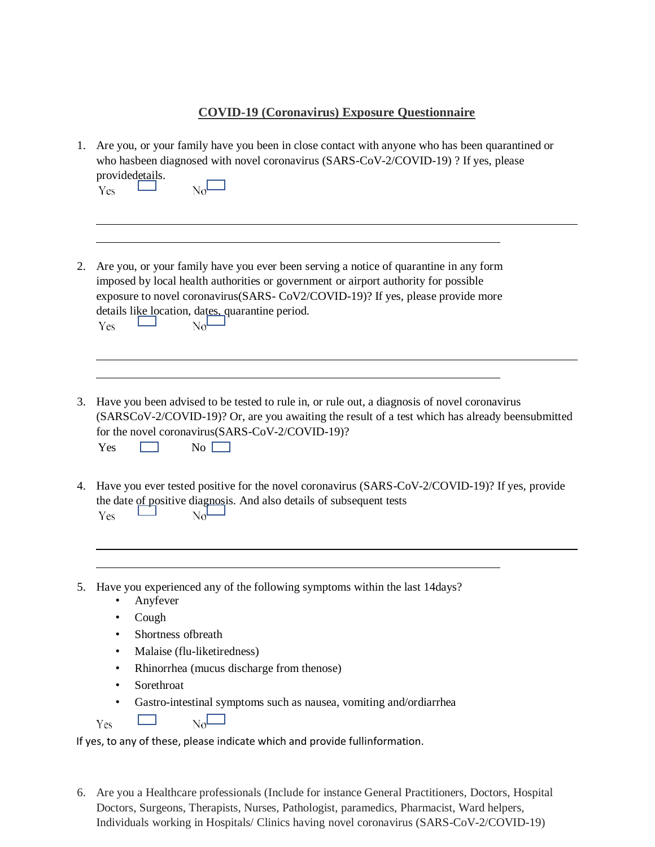## **COVID-19 (Coronavirus) Exposure Questionnaire**

|    | 1. Are you, or your family have you been in close contact with anyone who has been quarantined or<br>who hasbeen diagnosed with novel coronavirus (SARS-CoV-2/COVID-19) ? If yes, please<br>providedetails.<br>$\text{No}^{\mathsf{L}}$<br>Yes                                                                                   |
|----|----------------------------------------------------------------------------------------------------------------------------------------------------------------------------------------------------------------------------------------------------------------------------------------------------------------------------------|
| 2. | Are you, or your family have you ever been serving a notice of quarantine in any form<br>imposed by local health authorities or government or airport authority for possible<br>exposure to novel coronavirus(SARS- CoV2/COVID-19)? If yes, please provide more<br>details like location, dates, quarantine period.<br>Yes<br>No |
|    |                                                                                                                                                                                                                                                                                                                                  |
| 3. | Have you been advised to be tested to rule in, or rule out, a diagnosis of novel coronavirus<br>(SARSCoV-2/COVID-19)? Or, are you awaiting the result of a test which has already beensubmitted<br>for the novel coronavirus(SARS-CoV-2/COVID-19)?<br>No<br>Yes                                                                  |
| 4. | Have you ever tested positive for the novel coronavirus (SARS-CoV-2/COVID-19)? If yes, provide<br>the date of positive diagnosis. And also details of subsequent tests<br>Yes<br>No                                                                                                                                              |
|    |                                                                                                                                                                                                                                                                                                                                  |
|    | 5. Have you experienced any of the following symptoms within the last 14days?<br>Anyfever                                                                                                                                                                                                                                        |
|    | Cough<br>$\bullet$                                                                                                                                                                                                                                                                                                               |
|    | Shortness of breath<br>$\bullet$                                                                                                                                                                                                                                                                                                 |
|    | Malaise (flu-liketiredness)                                                                                                                                                                                                                                                                                                      |
|    | Rhinorrhea (mucus discharge from thenose)                                                                                                                                                                                                                                                                                        |

- Sorethroat
- Gastro-intestinal symptoms such as nausea, vomiting and/ordiarrhea

 $N_0$ **Tara** Yes

If yes, to any of these, please indicate which and provide fullinformation.

6. Are you a Healthcare professionals (Include for instance General Practitioners, Doctors, Hospital Doctors, Surgeons, Therapists, Nurses, Pathologist, paramedics, Pharmacist, Ward helpers, Individuals working in Hospitals/ Clinics having novel coronavirus (SARS-CoV-2/COVID-19)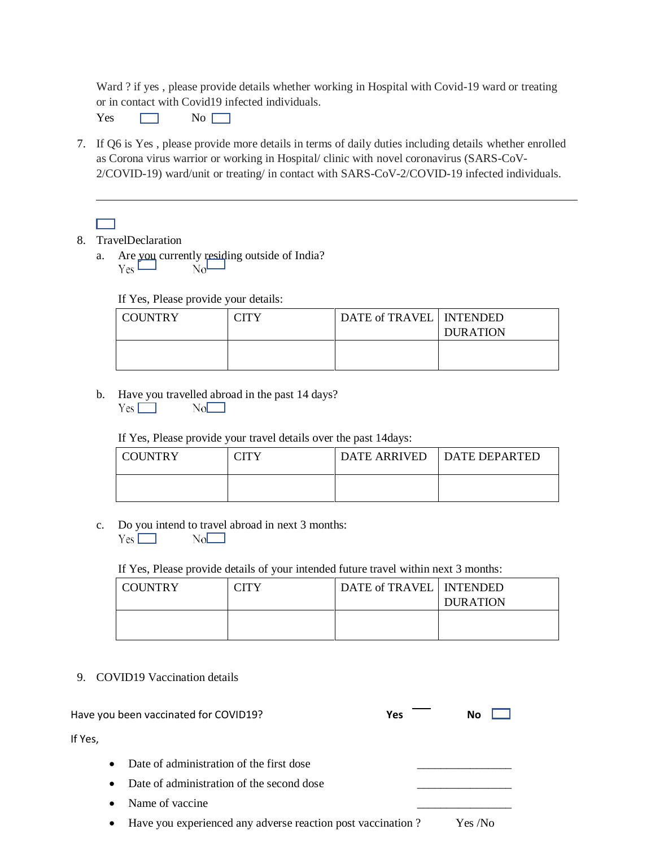Ward ? if yes , please provide details whether working in Hospital with Covid-19 ward or treating or in contact with Covid19 infected individuals.

 $Yes \qquad \qquad \Box \qquad No \qquad \Box$ 

- 7. If Q6 is Yes , please provide more details in terms of daily duties including details whether enrolled as Corona virus warrior or working in Hospital/ clinic with novel coronavirus (SARS-CoV-2/COVID-19) ward/unit or treating/ in contact with SARS-CoV-2/COVID-19 infected individuals.
	- mп
- 8. TravelDeclaration
	- a. Are you currently residing outside of India?<br> $Y_{\text{ES}}$

If Yes, Please provide your details:

| COUNTRY | <b>CITY</b> | DATE of TRAVEL   INTENDED | <b>DURATION</b> |
|---------|-------------|---------------------------|-----------------|
|         |             |                           |                 |

b. Have you travelled abroad in the past 14 days?  $Yes$   $\Box$  $No$ 

If Yes, Please provide your travel details over the past 14days:

| <b>COUNTRY</b> | 'ITV | DATE ARRIVED   DATE DEPARTED |
|----------------|------|------------------------------|
|                |      |                              |

c. Do you intend to travel abroad in next 3 months:  $Yes \Box$  $No$ 

If Yes, Please provide details of your intended future travel within next 3 months:

| COUNTRY | TITY | DATE of TRAVEL   INTENDED | <b>DURATION</b> |
|---------|------|---------------------------|-----------------|
|         |      |                           |                 |

9. COVID19 Vaccination details

| Have you been vaccinated for COVID19? |           | <b>Yes</b>                                | Nο |  |  |
|---------------------------------------|-----------|-------------------------------------------|----|--|--|
| If Yes,                               |           |                                           |    |  |  |
|                                       | $\bullet$ | Date of administration of the first dose  |    |  |  |
|                                       | $\bullet$ | Date of administration of the second dose |    |  |  |
|                                       | $\bullet$ | Name of vaccine                           |    |  |  |
|                                       |           |                                           |    |  |  |

Have you experienced any adverse reaction post vaccination ? Yes /No